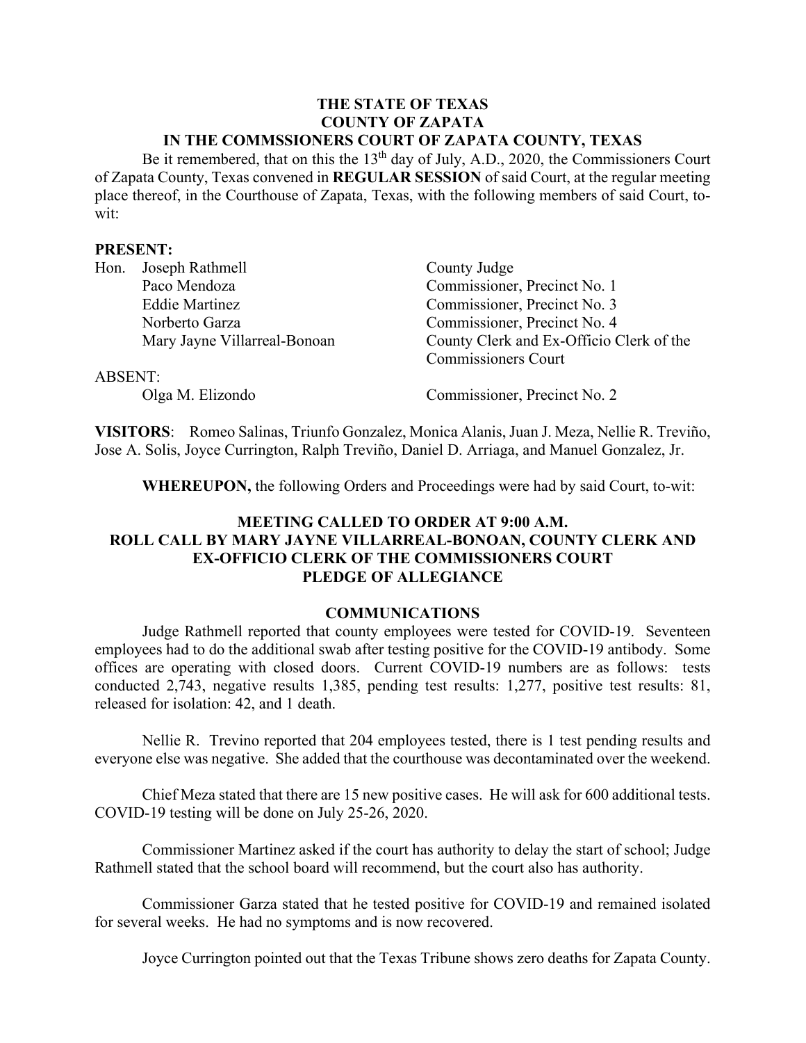#### **THE STATE OF TEXAS COUNTY OF ZAPATA IN THE COMMSSIONERS COURT OF ZAPATA COUNTY, TEXAS**

Be it remembered, that on this the 13<sup>th</sup> day of July, A.D., 2020, the Commissioners Court of Zapata County, Texas convened in **REGULAR SESSION** of said Court, at the regular meeting place thereof, in the Courthouse of Zapata, Texas, with the following members of said Court, towit:

#### **PRESENT:**

| Hon.    | Joseph Rathmell              | County Judge                             |
|---------|------------------------------|------------------------------------------|
|         | Paco Mendoza                 | Commissioner, Precinct No. 1             |
|         | <b>Eddie Martinez</b>        | Commissioner, Precinct No. 3             |
|         | Norberto Garza               | Commissioner, Precinct No. 4             |
|         | Mary Jayne Villarreal-Bonoan | County Clerk and Ex-Officio Clerk of the |
|         |                              | <b>Commissioners Court</b>               |
| ABSENT: |                              |                                          |
|         | Olga M. Elizondo             | Commissioner, Precinct No. 2             |

**VISITORS**: Romeo Salinas, Triunfo Gonzalez, Monica Alanis, Juan J. Meza, Nellie R. Treviño, Jose A. Solis, Joyce Currington, Ralph Treviño, Daniel D. Arriaga, and Manuel Gonzalez, Jr.

**WHEREUPON,** the following Orders and Proceedings were had by said Court, to-wit:

# **MEETING CALLED TO ORDER AT 9:00 A.M. ROLL CALL BY MARY JAYNE VILLARREAL-BONOAN, COUNTY CLERK AND EX-OFFICIO CLERK OF THE COMMISSIONERS COURT PLEDGE OF ALLEGIANCE**

#### **COMMUNICATIONS**

Judge Rathmell reported that county employees were tested for COVID-19. Seventeen employees had to do the additional swab after testing positive for the COVID-19 antibody. Some offices are operating with closed doors. Current COVID-19 numbers are as follows: tests conducted 2,743, negative results 1,385, pending test results: 1,277, positive test results: 81, released for isolation: 42, and 1 death.

Nellie R. Trevino reported that 204 employees tested, there is 1 test pending results and everyone else was negative. She added that the courthouse was decontaminated over the weekend.

Chief Meza stated that there are 15 new positive cases. He will ask for 600 additional tests. COVID-19 testing will be done on July 25-26, 2020.

Commissioner Martinez asked if the court has authority to delay the start of school; Judge Rathmell stated that the school board will recommend, but the court also has authority.

Commissioner Garza stated that he tested positive for COVID-19 and remained isolated for several weeks. He had no symptoms and is now recovered.

Joyce Currington pointed out that the Texas Tribune shows zero deaths for Zapata County.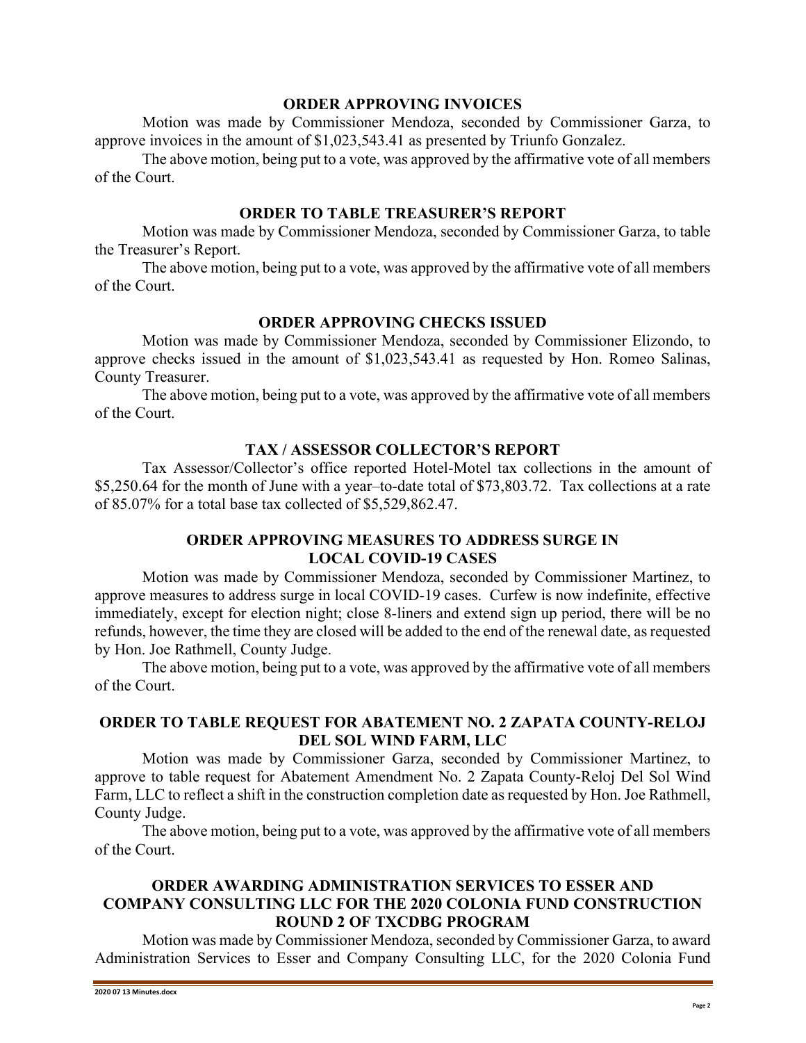#### **ORDER APPROVING INVOICES**

Motion was made by Commissioner Mendoza, seconded by Commissioner Garza, to approve invoices in the amount of \$1,023,543.41 as presented by Triunfo Gonzalez.

The above motion, being put to a vote, was approved by the affirmative vote of all members of the Court.

### **ORDER TO TABLE TREASURER'S REPORT**

Motion was made by Commissioner Mendoza, seconded by Commissioner Garza, to table the Treasurer's Report.

The above motion, being put to a vote, was approved by the affirmative vote of all members of the Court.

# **ORDER APPROVING CHECKS ISSUED**

Motion was made by Commissioner Mendoza, seconded by Commissioner Elizondo, to approve checks issued in the amount of \$1,023,543.41 as requested by Hon. Romeo Salinas, County Treasurer.

The above motion, being put to a vote, was approved by the affirmative vote of all members of the Court.

## **TAX / ASSESSOR COLLECTOR'S REPORT**

Tax Assessor/Collector's office reported Hotel-Motel tax collections in the amount of \$5,250.64 for the month of June with a year–to-date total of \$73,803.72. Tax collections at a rate of 85.07% for a total base tax collected of \$5,529,862.47.

## **ORDER APPROVING MEASURES TO ADDRESS SURGE IN LOCAL COVID-19 CASES**

Motion was made by Commissioner Mendoza, seconded by Commissioner Martinez, to approve measures to address surge in local COVID-19 cases. Curfew is now indefinite, effective immediately, except for election night; close 8-liners and extend sign up period, there will be no refunds, however, the time they are closed will be added to the end of the renewal date, as requested by Hon. Joe Rathmell, County Judge.

The above motion, being put to a vote, was approved by the affirmative vote of all members of the Court.

## **ORDER TO TABLE REQUEST FOR ABATEMENT NO. 2 ZAPATA COUNTY-RELOJ DEL SOL WIND FARM, LLC**

Motion was made by Commissioner Garza, seconded by Commissioner Martinez, to approve to table request for Abatement Amendment No. 2 Zapata County-Reloj Del Sol Wind Farm, LLC to reflect a shift in the construction completion date as requested by Hon. Joe Rathmell, County Judge.

The above motion, being put to a vote, was approved by the affirmative vote of all members of the Court.

# **ORDER AWARDING ADMINISTRATION SERVICES TO ESSER AND COMPANY CONSULTING LLC FOR THE 2020 COLONIA FUND CONSTRUCTION ROUND 2 OF TXCDBG PROGRAM**

Motion was made by Commissioner Mendoza, seconded by Commissioner Garza, to award Administration Services to Esser and Company Consulting LLC, for the 2020 Colonia Fund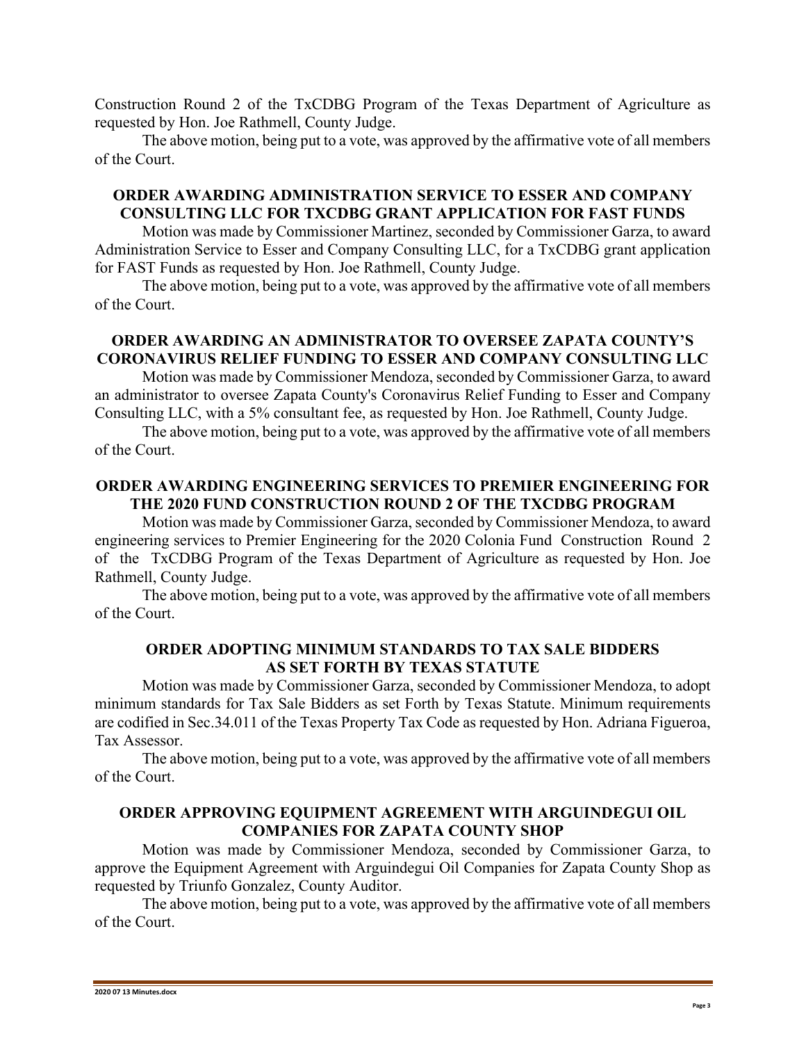Construction Round 2 of the TxCDBG Program of the Texas Department of Agriculture as requested by Hon. Joe Rathmell, County Judge.

The above motion, being put to a vote, was approved by the affirmative vote of all members of the Court.

### **ORDER AWARDING ADMINISTRATION SERVICE TO ESSER AND COMPANY CONSULTING LLC FOR TXCDBG GRANT APPLICATION FOR FAST FUNDS**

Motion was made by Commissioner Martinez, seconded by Commissioner Garza, to award Administration Service to Esser and Company Consulting LLC, for a TxCDBG grant application for FAST Funds as requested by Hon. Joe Rathmell, County Judge.

The above motion, being put to a vote, was approved by the affirmative vote of all members of the Court.

# **ORDER AWARDING AN ADMINISTRATOR TO OVERSEE ZAPATA COUNTY'S CORONAVIRUS RELIEF FUNDING TO ESSER AND COMPANY CONSULTING LLC**

Motion was made by Commissioner Mendoza, seconded by Commissioner Garza, to award an administrator to oversee Zapata County's Coronavirus Relief Funding to Esser and Company Consulting LLC, with a 5% consultant fee, as requested by Hon. Joe Rathmell, County Judge.

The above motion, being put to a vote, was approved by the affirmative vote of all members of the Court.

## **ORDER AWARDING ENGINEERING SERVICES TO PREMIER ENGINEERING FOR THE 2020 FUND CONSTRUCTION ROUND 2 OF THE TXCDBG PROGRAM**

Motion was made by Commissioner Garza, seconded by Commissioner Mendoza, to award engineering services to Premier Engineering for the 2020 Colonia Fund Construction Round 2 of the TxCDBG Program of the Texas Department of Agriculture as requested by Hon. Joe Rathmell, County Judge.

The above motion, being put to a vote, was approved by the affirmative vote of all members of the Court.

#### **ORDER ADOPTING MINIMUM STANDARDS TO TAX SALE BIDDERS AS SET FORTH BY TEXAS STATUTE**

Motion was made by Commissioner Garza, seconded by Commissioner Mendoza, to adopt minimum standards for Tax Sale Bidders as set Forth by Texas Statute. Minimum requirements are codified in Sec.34.011 of the Texas Property Tax Code as requested by Hon. Adriana Figueroa, Tax Assessor.

The above motion, being put to a vote, was approved by the affirmative vote of all members of the Court.

## **ORDER APPROVING EQUIPMENT AGREEMENT WITH ARGUINDEGUI OIL COMPANIES FOR ZAPATA COUNTY SHOP**

Motion was made by Commissioner Mendoza, seconded by Commissioner Garza, to approve the Equipment Agreement with Arguindegui Oil Companies for Zapata County Shop as requested by Triunfo Gonzalez, County Auditor.

The above motion, being put to a vote, was approved by the affirmative vote of all members of the Court.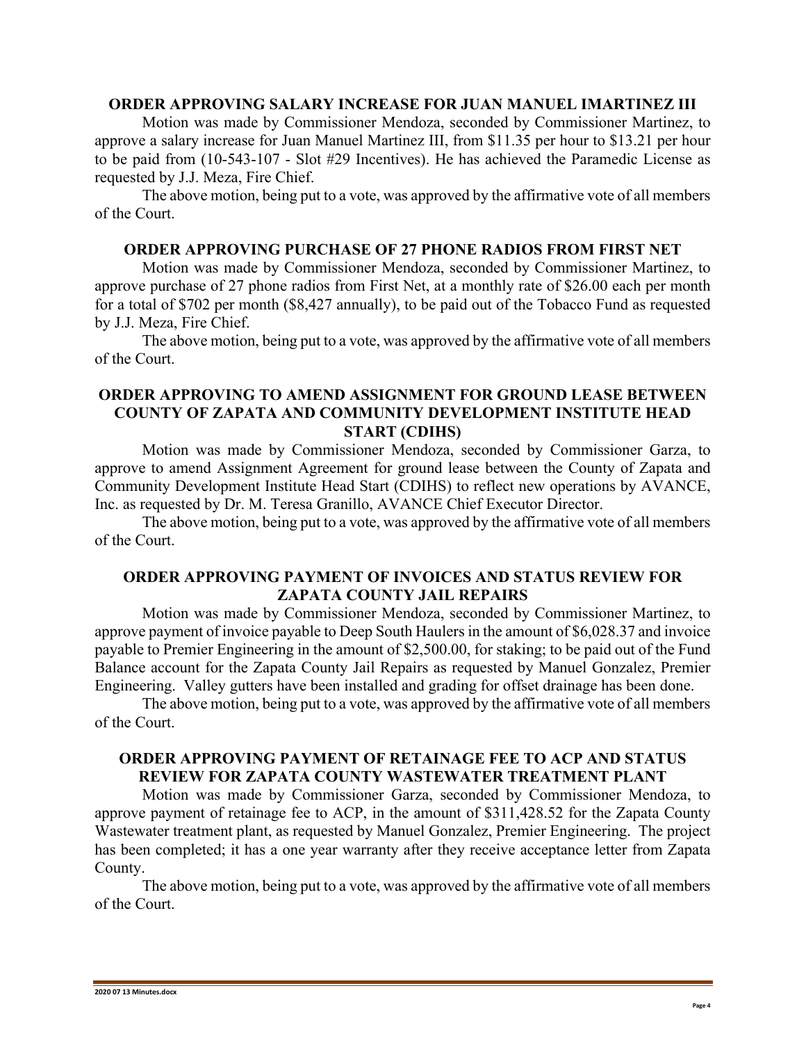#### **ORDER APPROVING SALARY INCREASE FOR JUAN MANUEL IMARTINEZ III**

Motion was made by Commissioner Mendoza, seconded by Commissioner Martinez, to approve a salary increase for Juan Manuel Martinez III, from \$11.35 per hour to \$13.21 per hour to be paid from (10-543-107 - Slot #29 Incentives). He has achieved the Paramedic License as requested by J.J. Meza, Fire Chief.

The above motion, being put to a vote, was approved by the affirmative vote of all members of the Court.

### **ORDER APPROVING PURCHASE OF 27 PHONE RADIOS FROM FIRST NET**

Motion was made by Commissioner Mendoza, seconded by Commissioner Martinez, to approve purchase of 27 phone radios from First Net, at a monthly rate of \$26.00 each per month for a total of \$702 per month (\$8,427 annually), to be paid out of the Tobacco Fund as requested by J.J. Meza, Fire Chief.

The above motion, being put to a vote, was approved by the affirmative vote of all members of the Court.

### **ORDER APPROVING TO AMEND ASSIGNMENT FOR GROUND LEASE BETWEEN COUNTY OF ZAPATA AND COMMUNITY DEVELOPMENT INSTITUTE HEAD START (CDIHS)**

Motion was made by Commissioner Mendoza, seconded by Commissioner Garza, to approve to amend Assignment Agreement for ground lease between the County of Zapata and Community Development Institute Head Start (CDIHS) to reflect new operations by AVANCE, Inc. as requested by Dr. M. Teresa Granillo, AVANCE Chief Executor Director.

The above motion, being put to a vote, was approved by the affirmative vote of all members of the Court.

#### **ORDER APPROVING PAYMENT OF INVOICES AND STATUS REVIEW FOR ZAPATA COUNTY JAIL REPAIRS**

Motion was made by Commissioner Mendoza, seconded by Commissioner Martinez, to approve payment of invoice payable to Deep South Haulers in the amount of \$6,028.37 and invoice payable to Premier Engineering in the amount of \$2,500.00, for staking; to be paid out of the Fund Balance account for the Zapata County Jail Repairs as requested by Manuel Gonzalez, Premier Engineering. Valley gutters have been installed and grading for offset drainage has been done.

The above motion, being put to a vote, was approved by the affirmative vote of all members of the Court.

## **ORDER APPROVING PAYMENT OF RETAINAGE FEE TO ACP AND STATUS REVIEW FOR ZAPATA COUNTY WASTEWATER TREATMENT PLANT**

Motion was made by Commissioner Garza, seconded by Commissioner Mendoza, to approve payment of retainage fee to ACP, in the amount of \$311,428.52 for the Zapata County Wastewater treatment plant, as requested by Manuel Gonzalez, Premier Engineering. The project has been completed; it has a one year warranty after they receive acceptance letter from Zapata County.

The above motion, being put to a vote, was approved by the affirmative vote of all members of the Court.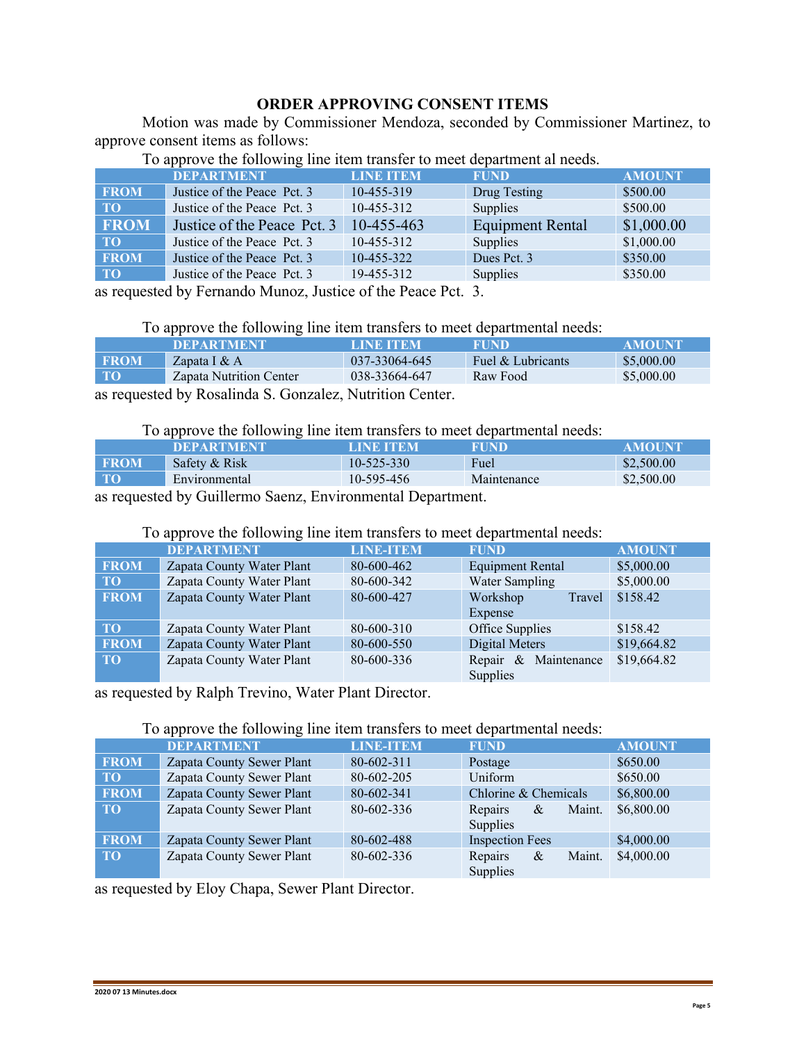## **ORDER APPROVING CONSENT ITEMS**

Motion was made by Commissioner Mendoza, seconded by Commissioner Martinez, to approve consent items as follows:

|             | .<br><b>DEPARTMENT</b>      | <b>LINE ITEM</b> | <b>FUND</b>             | <b>AMOUNT</b> |
|-------------|-----------------------------|------------------|-------------------------|---------------|
| <b>FROM</b> | Justice of the Peace Pct. 3 | 10-455-319       | Drug Testing            | \$500.00      |
| TO:         | Justice of the Peace Pct. 3 | 10-455-312       | Supplies                | \$500.00      |
| <b>FROM</b> | Justice of the Peace Pct. 3 | 10-455-463       | <b>Equipment Rental</b> | \$1,000.00    |
| <b>TO</b>   | Justice of the Peace Pct. 3 | 10-455-312       | Supplies                | \$1,000.00    |
| <b>FROM</b> | Justice of the Peace Pct. 3 | 10-455-322       | Dues Pct. 3             | \$350.00      |
| <b>TO</b>   | Justice of the Peace Pct. 3 | 19-455-312       | Supplies                | \$350.00      |

To approve the following line item transfer to meet department al needs.

as requested by Fernando Munoz, Justice of the Peace Pct. 3.

To approve the following line item transfers to meet departmental needs:

|                                                                                                                                                                                                                                                                                                                   | <b>DEPARTMENT</b>       | LINE TEM      | <b>FUND</b>       | <b>AMOUNT</b> |  |
|-------------------------------------------------------------------------------------------------------------------------------------------------------------------------------------------------------------------------------------------------------------------------------------------------------------------|-------------------------|---------------|-------------------|---------------|--|
| <b>FROM</b>                                                                                                                                                                                                                                                                                                       | Zapata I $&$ A          | 037-33064-645 | Fuel & Lubricants | \$5,000.00    |  |
| <b>TO</b>                                                                                                                                                                                                                                                                                                         | Zapata Nutrition Center | 038-33664-647 | Raw Food          | \$5,000.00    |  |
| $\mathcal{L}$ and $\mathcal{L}$ and $\mathcal{L}$ and $\mathcal{L}$ and $\mathcal{L}$ and $\mathcal{L}$ and $\mathcal{L}$ and $\mathcal{L}$ and $\mathcal{L}$ and $\mathcal{L}$ and $\mathcal{L}$ and $\mathcal{L}$ and $\mathcal{L}$ and $\mathcal{L}$ and $\mathcal{L}$ and $\mathcal{L}$ and $\mathcal{L}$ and |                         |               |                   |               |  |

as requested by Rosalinda S. Gonzalez, Nutrition Center.

To approve the following line item transfers to meet departmental needs:

|                                                                                                         | <b>DEPARTMENT</b> | LINE ITEM        | FUND        | <b>AMOUNT</b> |
|---------------------------------------------------------------------------------------------------------|-------------------|------------------|-------------|---------------|
| <b>EROM</b>                                                                                             | Safety & Risk     | $10 - 525 - 330$ | Fuel        | \$2,500.00    |
| <b>TO</b>                                                                                               | Environmental     | 10-595-456       | Maintenance | \$2,500.00    |
| $\blacksquare$ 11 $\Omega$ '11 $\Omega$ $\blacksquare$ $\blacksquare$ ' $\blacksquare$ ' $\blacksquare$ |                   |                  |             |               |

as requested by Guillermo Saenz, Environmental Department.

To approve the following line item transfers to meet departmental needs:

|                 | <b>DEPARTMENT</b>         | <b>LINE-ITEM</b> | <b>FUND</b>                      | <b>AMOUNT</b> |
|-----------------|---------------------------|------------------|----------------------------------|---------------|
| <b>FROM</b>     | Zapata County Water Plant | 80-600-462       | Equipment Rental                 | \$5,000.00    |
| TO <sub>1</sub> | Zapata County Water Plant | 80-600-342       | <b>Water Sampling</b>            | \$5,000.00    |
| <b>FROM</b>     | Zapata County Water Plant | 80-600-427       | Workshop<br>Travel<br>Expense    | \$158.42      |
| <b>TO</b>       | Zapata County Water Plant | 80-600-310       | Office Supplies                  | \$158.42      |
| <b>FROM</b>     | Zapata County Water Plant | 80-600-550       | Digital Meters                   | \$19,664.82   |
| <b>TO</b>       | Zapata County Water Plant | 80-600-336       | Repair & Maintenance<br>Supplies | \$19,664.82   |

as requested by Ralph Trevino, Water Plant Director.

## To approve the following line item transfers to meet departmental needs:

|                 | . .                       |                  |                                           |               |
|-----------------|---------------------------|------------------|-------------------------------------------|---------------|
|                 | <b>DEPARTMENT</b>         | <b>LINE-ITEM</b> | <b>FUND</b>                               | <b>AMOUNT</b> |
| <b>FROM</b>     | Zapata County Sewer Plant | 80-602-311       | Postage                                   | \$650.00      |
| <b>TO</b>       | Zapata County Sewer Plant | 80-602-205       | Uniform                                   | \$650.00      |
| <b>FROM</b>     | Zapata County Sewer Plant | 80-602-341       | Chlorine & Chemicals                      | \$6,800.00    |
| TO <sub>1</sub> | Zapata County Sewer Plant | 80-602-336       | Maint.<br>Repairs<br>$\&$<br>Supplies     | \$6,800.00    |
| <b>FROM</b>     | Zapata County Sewer Plant | 80-602-488       | <b>Inspection Fees</b>                    | \$4,000.00    |
| TO <sub>1</sub> | Zapata County Sewer Plant | 80-602-336       | Repairs<br>$\alpha$<br>Maint.<br>Supplies | \$4,000.00    |

as requested by Eloy Chapa, Sewer Plant Director.